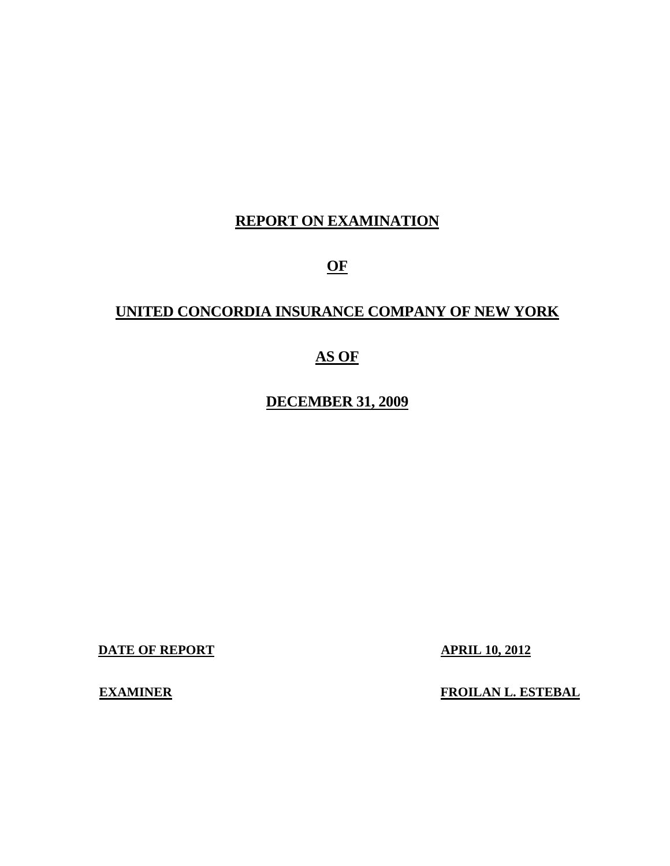# **REPORT ON EXAMINATION**

**OF** 

# **UNITED CONCORDIA INSURANCE COMPANY OF NEW YORK**

# **AS OF**

**DECEMBER 31, 2009**

**DATE OF REPORT APRIL 10, 2012** 

**EXAMINER** 

**EXAMINER FROILAN L. ESTEBAL**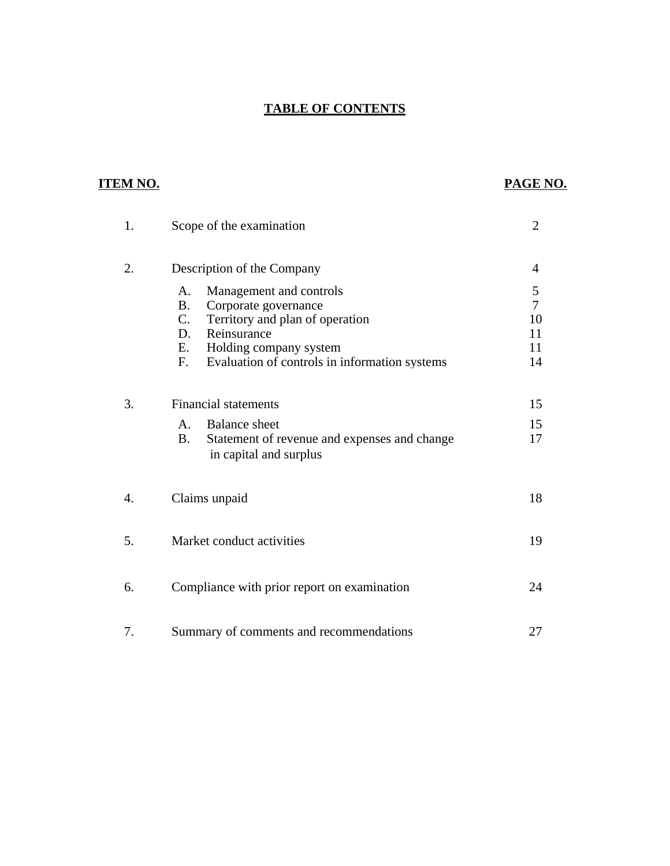## **TABLE OF CONTENTS**

# **ITEM NO.**

# **PAGE NO.**

| 1. | Scope of the examination                                                                                                                                                                                                         | $\overline{2}$                              |
|----|----------------------------------------------------------------------------------------------------------------------------------------------------------------------------------------------------------------------------------|---------------------------------------------|
| 2. | Description of the Company                                                                                                                                                                                                       | 4                                           |
|    | Management and controls<br>A.<br><b>B.</b><br>Corporate governance<br>$C_{\cdot}$<br>Territory and plan of operation<br>Reinsurance<br>D.<br>E.<br>Holding company system<br>F.<br>Evaluation of controls in information systems | 5<br>$\overline{7}$<br>10<br>11<br>11<br>14 |
| 3. | <b>Financial statements</b><br><b>Balance</b> sheet<br>$A_{-}$<br><b>B.</b><br>Statement of revenue and expenses and change<br>in capital and surplus                                                                            | 15<br>15<br>17                              |
| 4. | Claims unpaid                                                                                                                                                                                                                    | 18                                          |
| 5. | Market conduct activities                                                                                                                                                                                                        | 19                                          |
| 6. | Compliance with prior report on examination                                                                                                                                                                                      | 24                                          |
| 7. | Summary of comments and recommendations                                                                                                                                                                                          | 27                                          |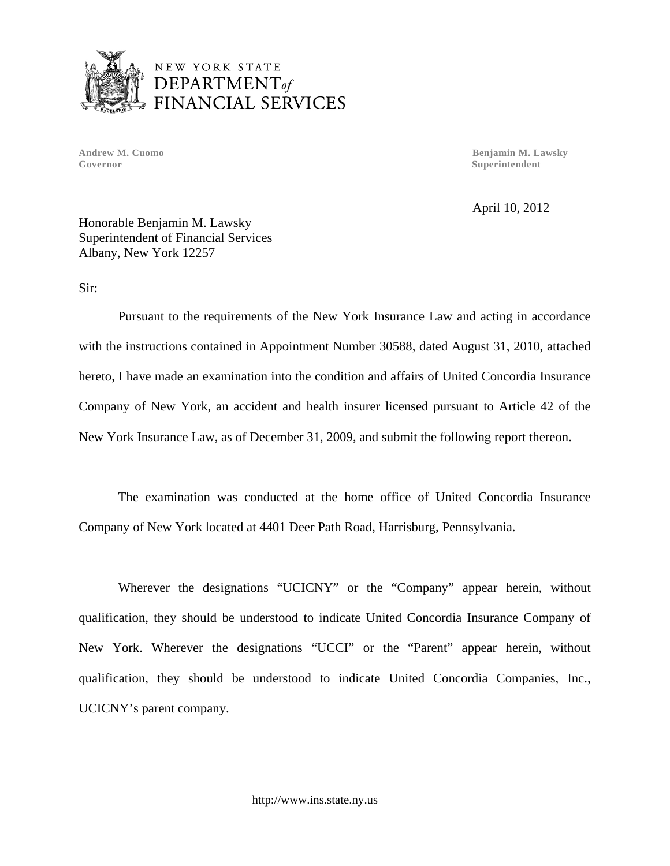

Governor Superintendent

**Andrew M. Cuomo Benjamin M. Lawsky** 

April 10, 2012

Honorable Benjamin M. Lawsky Superintendent of Financial Services Albany, New York 12257

Sir:

Pursuant to the requirements of the New York Insurance Law and acting in accordance with the instructions contained in Appointment Number 30588, dated August 31, 2010, attached hereto, I have made an examination into the condition and affairs of United Concordia Insurance Company of New York, an accident and health insurer licensed pursuant to Article 42 of the New York Insurance Law, as of December 31, 2009, and submit the following report thereon.

The examination was conducted at the home office of United Concordia Insurance Company of New York located at 4401 Deer Path Road, Harrisburg, Pennsylvania.

Wherever the designations "UCICNY" or the "Company" appear herein, without qualification, they should be understood to indicate United Concordia Insurance Company of New York. Wherever the designations "UCCI" or the "Parent" appear herein, without qualification, they should be understood to indicate United Concordia Companies, Inc., UCICNY's parent company.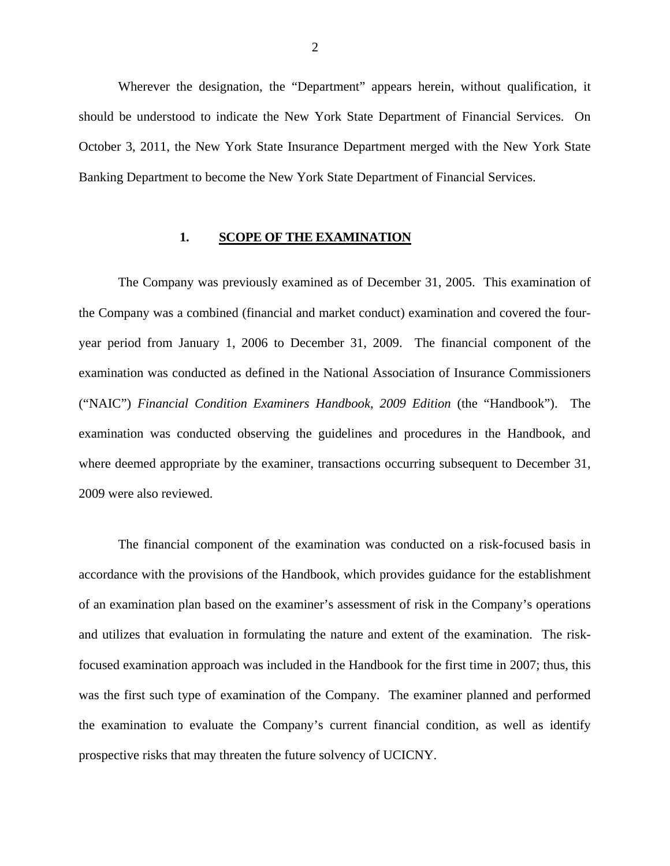<span id="page-3-0"></span>Wherever the designation, the "Department" appears herein, without qualification, it should be understood to indicate the New York State Department of Financial Services. On October 3, 2011, the New York State Insurance Department merged with the New York State Banking Department to become the New York State Department of Financial Services.

#### **1. SCOPE OF THE EXAMINATION**

The Company was previously examined as of December 31, 2005. This examination of the Company was a combined (financial and market conduct) examination and covered the fouryear period from January 1, 2006 to December 31, 2009. The financial component of the examination was conducted as defined in the National Association of Insurance Commissioners ("NAIC") *Financial Condition Examiners Handbook, 2009 Edition* (the "Handbook"). The examination was conducted observing the guidelines and procedures in the Handbook, and where deemed appropriate by the examiner, transactions occurring subsequent to December 31, 2009 were also reviewed.

The financial component of the examination was conducted on a risk-focused basis in accordance with the provisions of the Handbook, which provides guidance for the establishment of an examination plan based on the examiner's assessment of risk in the Company's operations and utilizes that evaluation in formulating the nature and extent of the examination. The riskfocused examination approach was included in the Handbook for the first time in 2007; thus, this was the first such type of examination of the Company. The examiner planned and performed the examination to evaluate the Company's current financial condition, as well as identify prospective risks that may threaten the future solvency of UCICNY.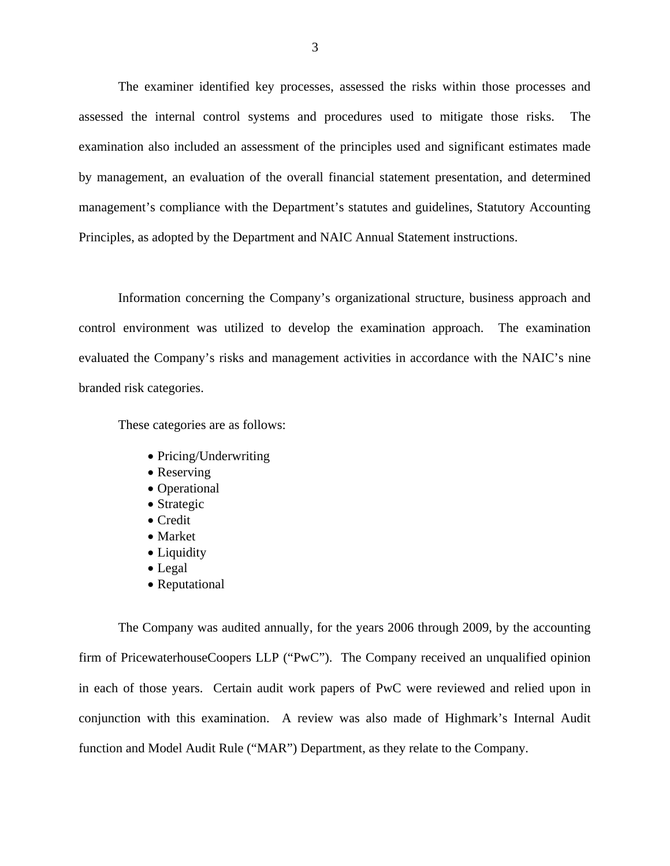The examiner identified key processes, assessed the risks within those processes and assessed the internal control systems and procedures used to mitigate those risks. The examination also included an assessment of the principles used and significant estimates made by management, an evaluation of the overall financial statement presentation, and determined management's compliance with the Department's statutes and guidelines, Statutory Accounting Principles, as adopted by the Department and NAIC Annual Statement instructions.

Information concerning the Company's organizational structure, business approach and control environment was utilized to develop the examination approach. The examination evaluated the Company's risks and management activities in accordance with the NAIC's nine branded risk categories.

These categories are as follows:

- Pricing/Underwriting
- Reserving
- Operational
- Strategic
- Credit
- Market
- Liquidity
- Legal
- Reputational

The Company was audited annually, for the years 2006 through 2009, by the accounting firm of PricewaterhouseCoopers LLP ("PwC"). The Company received an unqualified opinion in each of those years. Certain audit work papers of PwC were reviewed and relied upon in conjunction with this examination. A review was also made of Highmark's Internal Audit function and Model Audit Rule ("MAR") Department, as they relate to the Company.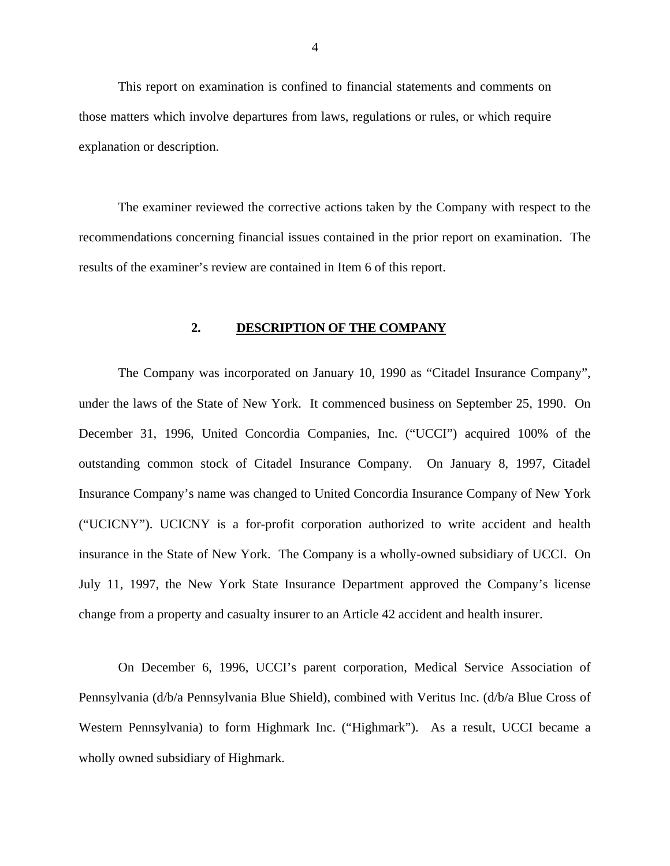<span id="page-5-0"></span>This report on examination is confined to financial statements and comments on those matters which involve departures from laws, regulations or rules, or which require explanation or description.

The examiner reviewed the corrective actions taken by the Company with respect to the recommendations concerning financial issues contained in the prior report on examination. The results of the examiner's review are contained in Item 6 of this report.

## **2. DESCRIPTION OF THE COMPANY**

The Company was incorporated on January 10, 1990 as "Citadel Insurance Company", under the laws of the State of New York. It commenced business on September 25, 1990. On December 31, 1996, United Concordia Companies, Inc. ("UCCI") acquired 100% of the outstanding common stock of Citadel Insurance Company. On January 8, 1997, Citadel Insurance Company's name was changed to United Concordia Insurance Company of New York ("UCICNY"). UCICNY is a for-profit corporation authorized to write accident and health insurance in the State of New York. The Company is a wholly-owned subsidiary of UCCI. On July 11, 1997, the New York State Insurance Department approved the Company's license change from a property and casualty insurer to an Article 42 accident and health insurer.

On December 6, 1996, UCCI's parent corporation, Medical Service Association of Pennsylvania (d/b/a Pennsylvania Blue Shield), combined with Veritus Inc. (d/b/a Blue Cross of Western Pennsylvania) to form Highmark Inc. ("Highmark"). As a result, UCCI became a wholly owned subsidiary of Highmark.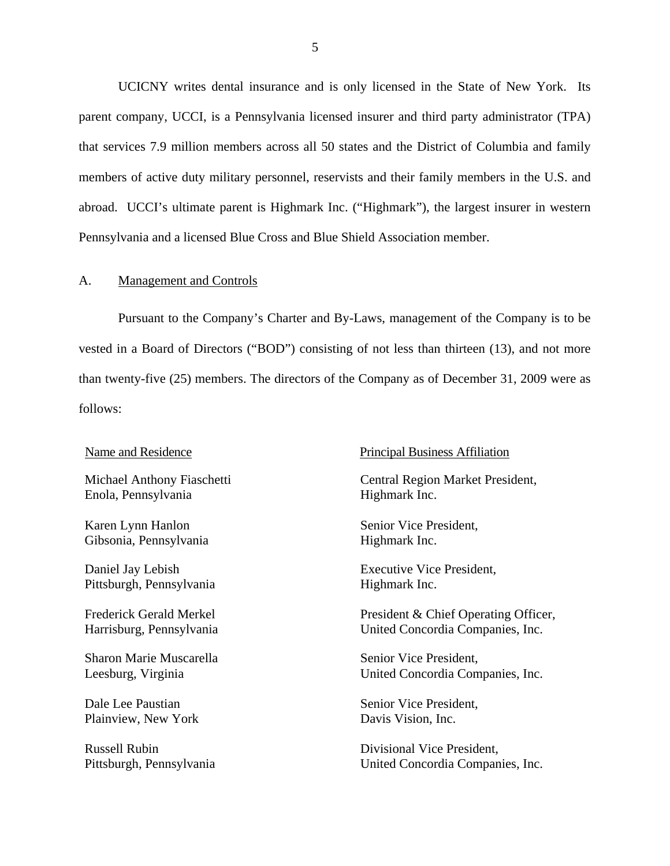<span id="page-6-0"></span>UCICNY writes dental insurance and is only licensed in the State of New York. Its parent company, UCCI, is a Pennsylvania licensed insurer and third party administrator (TPA) that services 7.9 million members across all 50 states and the District of Columbia and family members of active duty military personnel, reservists and their family members in the U.S. and abroad. UCCI's ultimate parent is Highmark Inc. ("Highmark"), the largest insurer in western Pennsylvania and a licensed Blue Cross and Blue Shield Association member.

#### A. Management and Controls

Pursuant to the Company's Charter and By-Laws, management of the Company is to be vested in a Board of Directors ("BOD") consisting of not less than thirteen (13), and not more than twenty-five (25) members. The directors of the Company as of December 31, 2009 were as follows:

Enola, Pennsylvania Highmark Inc.

Karen Lynn Hanlon Senior Vice President, Gibsonia, Pennsylvania Highmark Inc.

Pittsburgh, Pennsylvania Highmark Inc.

Sharon Marie Muscarella Senior Vice President,

Plainview, New York Davis Vision, Inc.

#### Name and Residence Principal Business Affiliation

Michael Anthony Fiaschetti Central Region Market President,

Daniel Jay Lebish Executive Vice President,

Frederick Gerald Merkel President & Chief Operating Officer,<br>
Harrisburg, Pennsylvania United Concordia Companies, Inc.

Leesburg, Virginia United Concordia Companies, Inc.

Dale Lee Paustian Senior Vice President,

Russell Rubin Divisional Vice President, Pittsburgh, Pennsylvania United Concordia Companies, Inc.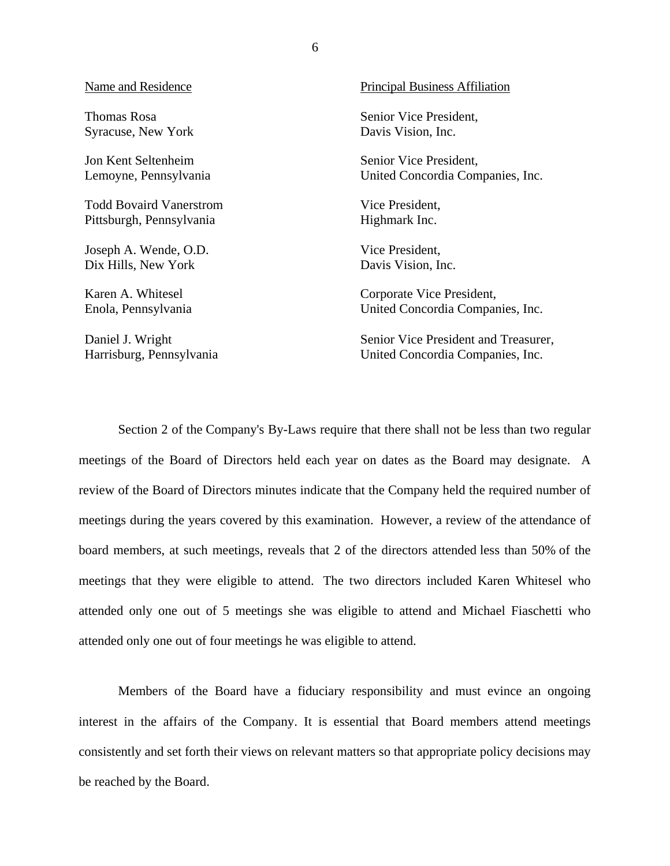#### Name and Residence

Thomas Rosa Syracuse, New York

Jon Kent Seltenheim Lemoyne, Pennsylvania

Todd Bovaird Vanerstrom Pittsburgh, Pennsylvania

Joseph A. Wende, O.D. Dix Hills, New York

Karen A. Whitesel Enola, Pennsylvania

Daniel J. Wright Harrisburg, Pennsylvania Principal Business Affiliation

Senior Vice President, Davis Vision, Inc.

Senior Vice President, United Concordia Companies, Inc.

Vice President, Highmark Inc.

Vice President, Davis Vision, Inc.

Corporate Vice President, United Concordia Companies, Inc.

Senior Vice President and Treasurer, United Concordia Companies, Inc.

Section 2 of the Company's By-Laws require that there shall not be less than two regular meetings of the Board of Directors held each year on dates as the Board may designate. A review of the Board of Directors minutes indicate that the Company held the required number of meetings during the years covered by this examination. However, a review of the attendance of board members, at such meetings, reveals that 2 of the directors attended less than 50% of the meetings that they were eligible to attend. The two directors included Karen Whitesel who attended only one out of 5 meetings she was eligible to attend and Michael Fiaschetti who attended only one out of four meetings he was eligible to attend.

Members of the Board have a fiduciary responsibility and must evince an ongoing interest in the affairs of the Company. It is essential that Board members attend meetings consistently and set forth their views on relevant matters so that appropriate policy decisions may be reached by the Board.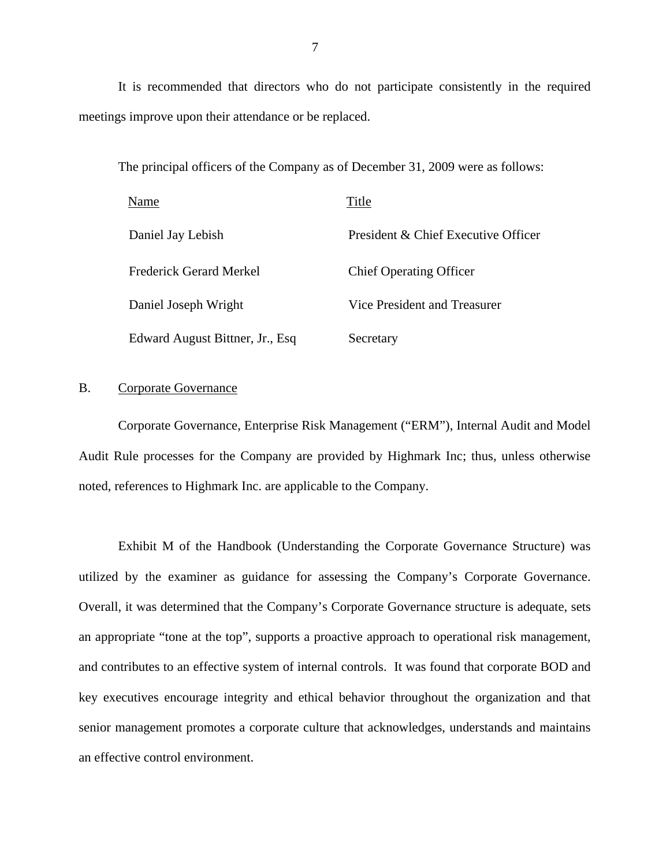It is recommended that directors who do not participate consistently in the required meetings improve upon their attendance or be replaced.

The principal officers of the Company as of December 31, 2009 were as follows:

| Name                            | Title                               |
|---------------------------------|-------------------------------------|
| Daniel Jay Lebish               | President & Chief Executive Officer |
| <b>Frederick Gerard Merkel</b>  | <b>Chief Operating Officer</b>      |
| Daniel Joseph Wright            | Vice President and Treasurer        |
| Edward August Bittner, Jr., Esq | Secretary                           |

## B. Corporate Governance

Corporate Governance, Enterprise Risk Management ("ERM"), Internal Audit and Model Audit Rule processes for the Company are provided by Highmark Inc; thus, unless otherwise noted, references to Highmark Inc. are applicable to the Company.

Exhibit M of the Handbook (Understanding the Corporate Governance Structure) was utilized by the examiner as guidance for assessing the Company's Corporate Governance. Overall, it was determined that the Company's Corporate Governance structure is adequate, sets an appropriate "tone at the top", supports a proactive approach to operational risk management, and contributes to an effective system of internal controls. It was found that corporate BOD and key executives encourage integrity and ethical behavior throughout the organization and that senior management promotes a corporate culture that acknowledges, understands and maintains an effective control environment.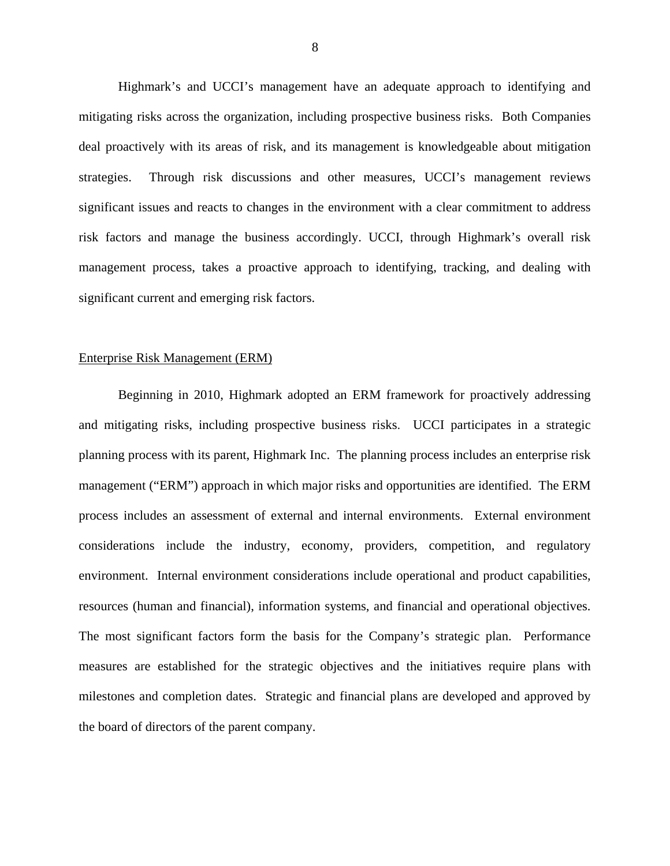Highmark's and UCCI's management have an adequate approach to identifying and mitigating risks across the organization, including prospective business risks. Both Companies deal proactively with its areas of risk, and its management is knowledgeable about mitigation strategies. Through risk discussions and other measures, UCCI's management reviews significant issues and reacts to changes in the environment with a clear commitment to address risk factors and manage the business accordingly. UCCI, through Highmark's overall risk management process, takes a proactive approach to identifying, tracking, and dealing with significant current and emerging risk factors.

#### Enterprise Risk Management (ERM)

Beginning in 2010, Highmark adopted an ERM framework for proactively addressing and mitigating risks, including prospective business risks. UCCI participates in a strategic planning process with its parent, Highmark Inc. The planning process includes an enterprise risk management ("ERM") approach in which major risks and opportunities are identified. The ERM process includes an assessment of external and internal environments. External environment considerations include the industry, economy, providers, competition, and regulatory environment. Internal environment considerations include operational and product capabilities, resources (human and financial), information systems, and financial and operational objectives. The most significant factors form the basis for the Company's strategic plan. Performance measures are established for the strategic objectives and the initiatives require plans with milestones and completion dates. Strategic and financial plans are developed and approved by the board of directors of the parent company.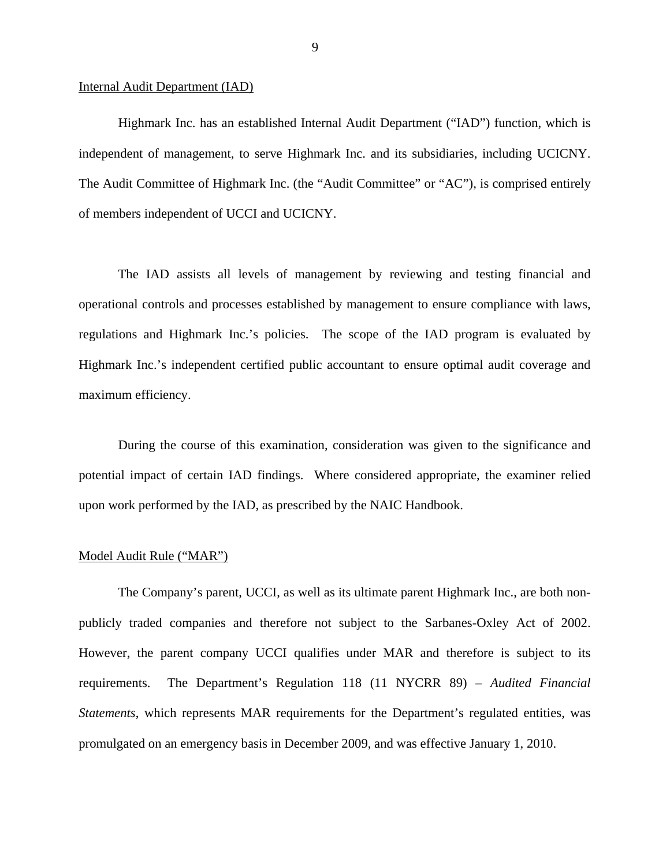#### Internal Audit Department (IAD)

independent of management, to serve Highmark Inc. and its subsidiaries, including UCICNY. Highmark Inc. has an established Internal Audit Department ("IAD") function, which is The Audit Committee of Highmark Inc. (the "Audit Committee" or "AC"), is comprised entirely of members independent of UCCI and UCICNY.

The IAD assists all levels of management by reviewing and testing financial and operational controls and processes established by management to ensure compliance with laws, regulations and Highmark Inc.'s policies. The scope of the IAD program is evaluated by Highmark Inc.'s independent certified public accountant to ensure optimal audit coverage and maximum efficiency.

During the course of this examination, consideration was given to the significance and potential impact of certain IAD findings. Where considered appropriate, the examiner relied upon work performed by the IAD, as prescribed by the NAIC Handbook.

#### Model Audit Rule ("MAR")

The Company's parent, UCCI, as well as its ultimate parent Highmark Inc., are both nonpublicly traded companies and therefore not subject to the Sarbanes-Oxley Act of 2002. However, the parent company UCCI qualifies under MAR and therefore is subject to its requirements. The Department's Regulation 118 (11 NYCRR 89) – *Audited Financial Statements*, which represents MAR requirements for the Department's regulated entities, was promulgated on an emergency basis in December 2009, and was effective January 1, 2010.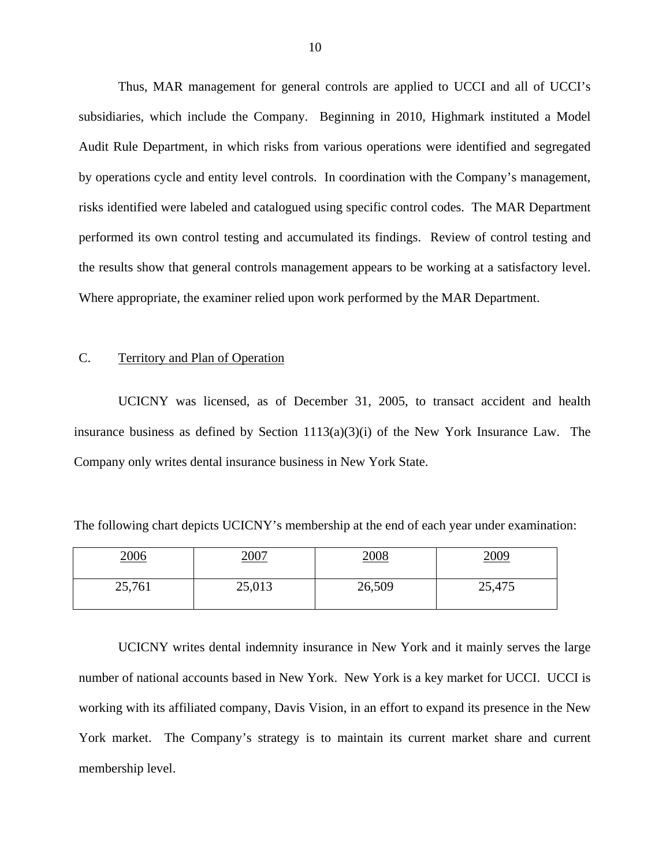Thus, MAR management for general controls are applied to UCCI and all of UCCI's subsidiaries, which include the Company. Beginning in 2010, Highmark instituted a Model Audit Rule Department, in which risks from various operations were identified and segregated by operations cycle and entity level controls. In coordination with the Company's management, risks identified were labeled and catalogued using specific control codes. The MAR Department performed its own control testing and accumulated its findings. Review of control testing and the results show that general controls management appears to be working at a satisfactory level. Where appropriate, the examiner relied upon work performed by the MAR Department.

## C. Territory and Plan of Operation

UCICNY was licensed, as of December 31, 2005, to transact accident and health insurance business as defined by Section  $1113(a)(3)(i)$  of the New York Insurance Law. The Company only writes dental insurance business in New York State.

The following chart depicts UCICNY's membership at the end of each year under examination:

| <u> 2006</u> | <u>2007</u> | <u> 2008</u> | 2009   |
|--------------|-------------|--------------|--------|
| 25,761       | 25,013      | 26,509       | 25,475 |

UCICNY writes dental indemnity insurance in New York and it mainly serves the large number of national accounts based in New York. New York is a key market for UCCI. UCCI is working with its affiliated company, Davis Vision, in an effort to expand its presence in the New York market. The Company's strategy is to maintain its current market share and current membership level.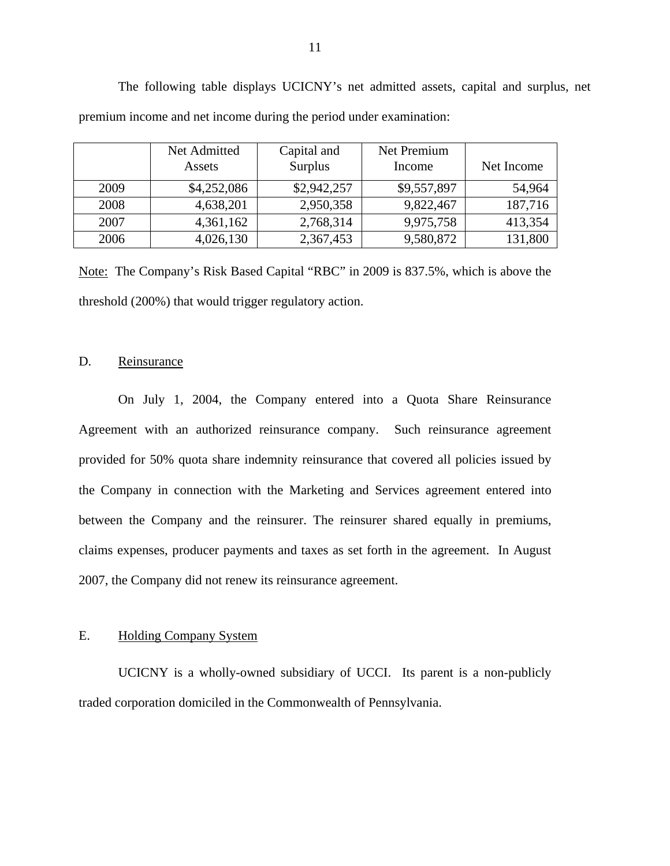|      | Net Admitted<br>Assets | Capital and<br>Surplus | Net Premium<br>Income | Net Income |
|------|------------------------|------------------------|-----------------------|------------|
| 2009 | \$4,252,086            | \$2,942,257            | \$9,557,897           | 54,964     |
| 2008 | 4,638,201              | 2,950,358              | 9,822,467             | 187,716    |
| 2007 | 4,361,162              | 2,768,314              | 9,975,758             | 413,354    |
| 2006 | 4,026,130              | 2,367,453              | 9,580,872             | 131,800    |

The following table displays UCICNY's net admitted assets, capital and surplus, net premium income and net income during the period under examination:

Note: The Company's Risk Based Capital "RBC" in 2009 is 837.5%, which is above the threshold (200%) that would trigger regulatory action.

## D. Reinsurance

On July 1, 2004, the Company entered into a Quota Share Reinsurance Agreement with an authorized reinsurance company. Such reinsurance agreement provided for 50% quota share indemnity reinsurance that covered all policies issued by the Company in connection with the Marketing and Services agreement entered into between the Company and the reinsurer. The reinsurer shared equally in premiums, claims expenses, producer payments and taxes as set forth in the agreement. In August 2007, the Company did not renew its reinsurance agreement.

### E. Holding Company System

UCICNY is a wholly-owned subsidiary of UCCI. Its parent is a non-publicly traded corporation domiciled in the Commonwealth of Pennsylvania.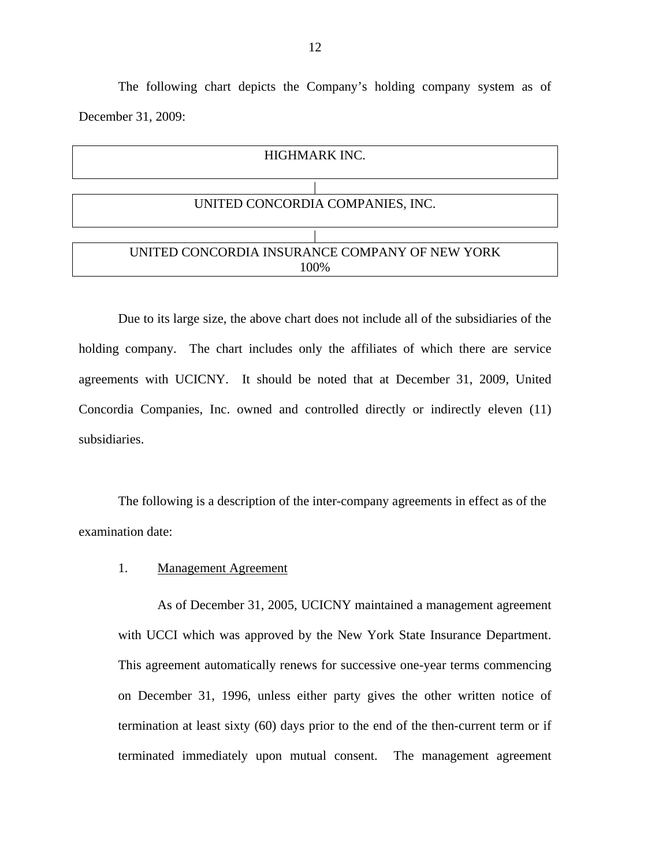The following chart depicts the Company's holding company system as of December 31, 2009:



subsidiaries. Due to its large size, the above chart does not include all of the subsidiaries of the holding company. The chart includes only the affiliates of which there are service agreements with UCICNY. It should be noted that at December 31, 2009, United Concordia Companies, Inc. owned and controlled directly or indirectly eleven (11)

The following is a description of the inter-company agreements in effect as of the examination date:

#### 1. Management Agreement

As of December 31, 2005, UCICNY maintained a management agreement with UCCI which was approved by the New York State Insurance Department. This agreement automatically renews for successive one-year terms commencing on December 31, 1996, unless either party gives the other written notice of termination at least sixty (60) days prior to the end of the then-current term or if terminated immediately upon mutual consent. The management agreement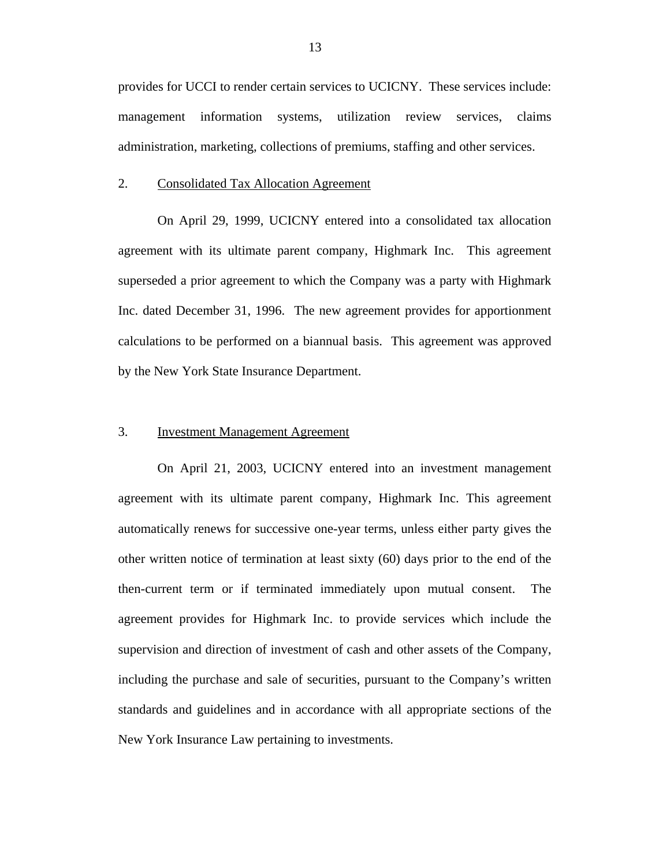provides for UCCI to render certain services to UCICNY. These services include: management information systems, utilization review services, claims administration, marketing, collections of premiums, staffing and other services.

#### 2. Consolidated Tax Allocation Agreement

On April 29, 1999, UCICNY entered into a consolidated tax allocation agreement with its ultimate parent company, Highmark Inc. This agreement superseded a prior agreement to which the Company was a party with Highmark Inc. dated December 31, 1996. The new agreement provides for apportionment calculations to be performed on a biannual basis. This agreement was approved by the New York State Insurance Department.

### 3. Investment Management Agreement

On April 21, 2003, UCICNY entered into an investment management agreement with its ultimate parent company, Highmark Inc. This agreement automatically renews for successive one-year terms, unless either party gives the other written notice of termination at least sixty (60) days prior to the end of the then-current term or if terminated immediately upon mutual consent. The agreement provides for Highmark Inc. to provide services which include the supervision and direction of investment of cash and other assets of the Company, including the purchase and sale of securities, pursuant to the Company's written standards and guidelines and in accordance with all appropriate sections of the New York Insurance Law pertaining to investments.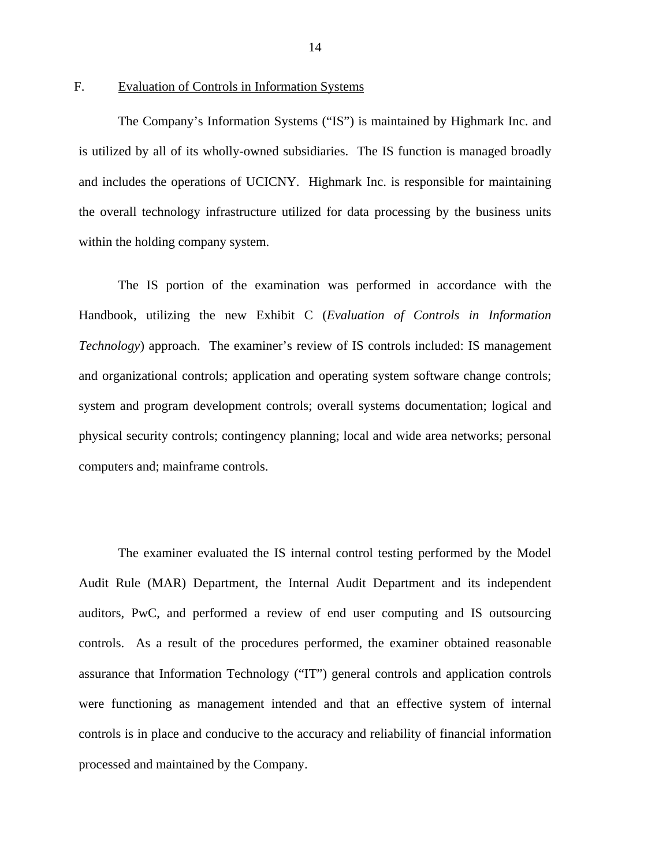## <span id="page-15-0"></span>F. Evaluation of Controls in Information Systems

The Company's Information Systems ("IS") is maintained by Highmark Inc. and is utilized by all of its wholly-owned subsidiaries. The IS function is managed broadly and includes the operations of UCICNY. Highmark Inc. is responsible for maintaining the overall technology infrastructure utilized for data processing by the business units within the holding company system.

The IS portion of the examination was performed in accordance with the Handbook, utilizing the new Exhibit C (*Evaluation of Controls in Information Technology*) approach. The examiner's review of IS controls included: IS management and organizational controls; application and operating system software change controls; system and program development controls; overall systems documentation; logical and physical security controls; contingency planning; local and wide area networks; personal computers and; mainframe controls.

The examiner evaluated the IS internal control testing performed by the Model Audit Rule (MAR) Department, the Internal Audit Department and its independent auditors, PwC, and performed a review of end user computing and IS outsourcing controls. As a result of the procedures performed, the examiner obtained reasonable assurance that Information Technology ("IT") general controls and application controls were functioning as management intended and that an effective system of internal controls is in place and conducive to the accuracy and reliability of financial information processed and maintained by the Company.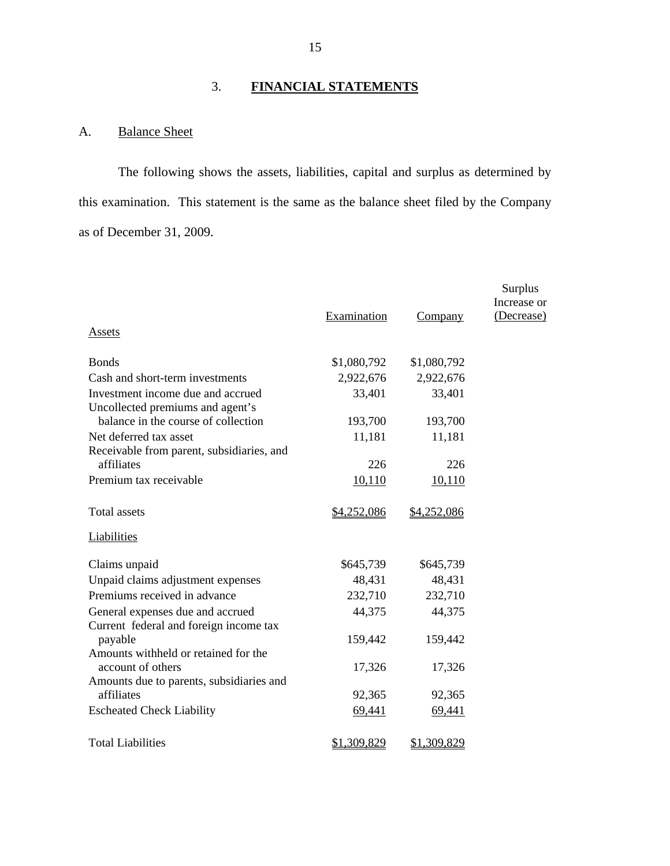# 3. **FINANCIAL STATEMENTS**

# A. Balance Sheet

The following shows the assets, liabilities, capital and surplus as determined by this examination. This statement is the same as the balance sheet filed by the Company as of December 31, 2009.

|                                                                       |             |             | Surplus                   |
|-----------------------------------------------------------------------|-------------|-------------|---------------------------|
|                                                                       | Examination | Company     | Increase or<br>(Decrease) |
| <b>Assets</b>                                                         |             |             |                           |
| <b>Bonds</b>                                                          | \$1,080,792 | \$1,080,792 |                           |
| Cash and short-term investments                                       | 2,922,676   | 2,922,676   |                           |
| Investment income due and accrued<br>Uncollected premiums and agent's | 33,401      | 33,401      |                           |
| balance in the course of collection                                   | 193,700     | 193,700     |                           |
| Net deferred tax asset<br>Receivable from parent, subsidiaries, and   | 11,181      | 11,181      |                           |
| affiliates                                                            | 226         | 226         |                           |
| Premium tax receivable                                                | 10,110      | 10,110      |                           |
| <b>Total assets</b>                                                   | \$4,252,086 | \$4,252,086 |                           |
| Liabilities                                                           |             |             |                           |
| Claims unpaid                                                         | \$645,739   | \$645,739   |                           |
| Unpaid claims adjustment expenses                                     | 48,431      | 48,431      |                           |
| Premiums received in advance                                          | 232,710     | 232,710     |                           |
| General expenses due and accrued                                      | 44,375      | 44,375      |                           |
| Current federal and foreign income tax<br>payable                     | 159,442     | 159,442     |                           |
| Amounts withheld or retained for the<br>account of others             | 17,326      | 17,326      |                           |
| Amounts due to parents, subsidiaries and<br>affiliates                | 92,365      |             |                           |
|                                                                       |             | 92,365      |                           |
| <b>Escheated Check Liability</b>                                      | 69,441      | 69,441      |                           |
| <b>Total Liabilities</b>                                              | \$1,309,829 | \$1,309,829 |                           |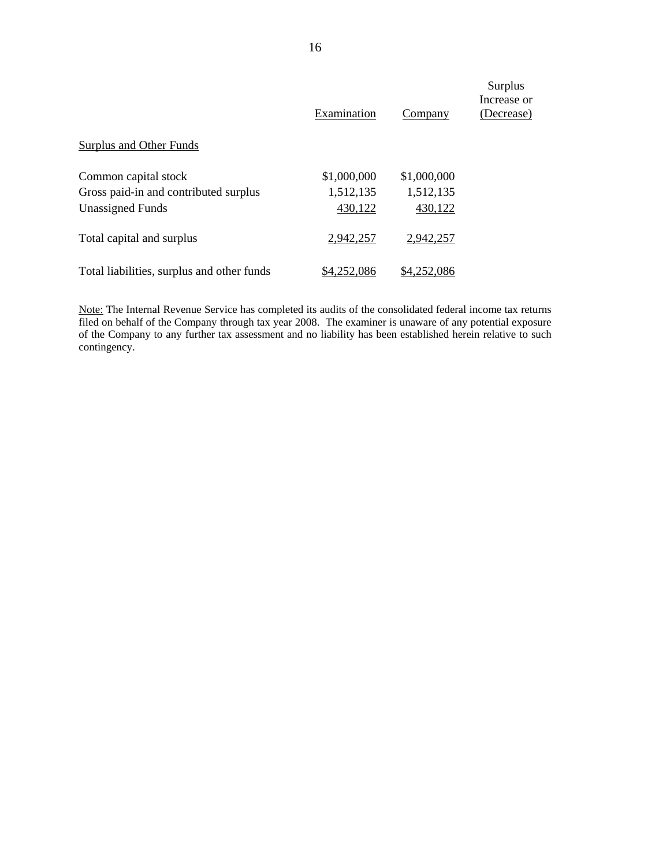|                                            | Examination | Company     | Surplus<br>Increase or<br>(Decrease) |
|--------------------------------------------|-------------|-------------|--------------------------------------|
| <b>Surplus and Other Funds</b>             |             |             |                                      |
| Common capital stock                       | \$1,000,000 | \$1,000,000 |                                      |
| Gross paid-in and contributed surplus      | 1,512,135   | 1,512,135   |                                      |
| <b>Unassigned Funds</b>                    | 430,122     | 430,122     |                                      |
| Total capital and surplus                  | 2,942,257   | 2,942,257   |                                      |
| Total liabilities, surplus and other funds | \$4,252,086 | \$4,252,086 |                                      |

Note: The Internal Revenue Service has completed its audits of the consolidated federal income tax returns filed on behalf of the Company through tax year 2008. The examiner is unaware of any potential exposure of the Company to any further tax assessment and no liability has been established herein relative to such contingency.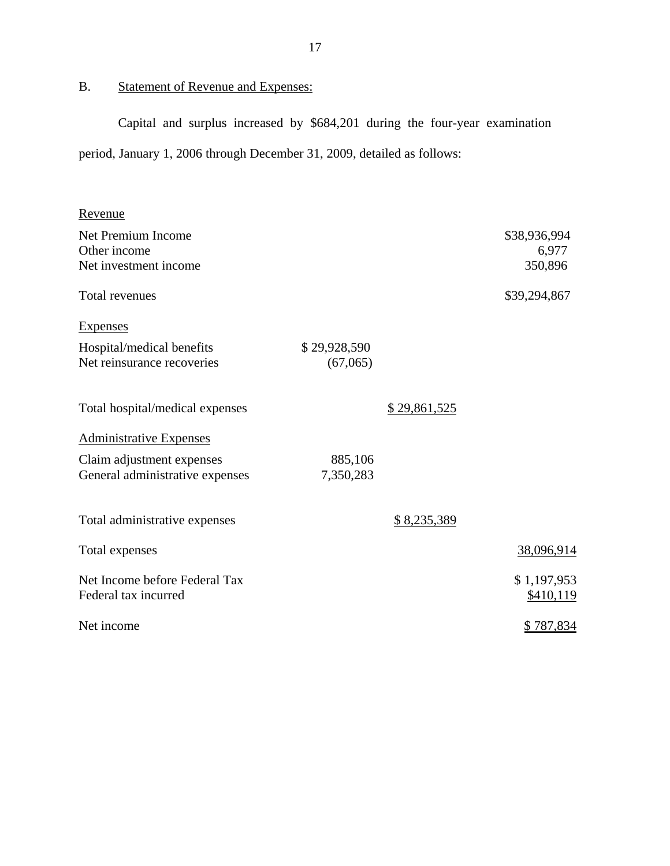# B. Statement of Revenue and Expenses:

Capital and surplus increased by \$684,201 during the four-year examination period, January 1, 2006 through December 31, 2009, detailed as follows:

| Revenue                                                      |                          |              |                                  |
|--------------------------------------------------------------|--------------------------|--------------|----------------------------------|
| Net Premium Income<br>Other income<br>Net investment income  |                          |              | \$38,936,994<br>6,977<br>350,896 |
| Total revenues                                               |                          |              | \$39,294,867                     |
| <b>Expenses</b>                                              |                          |              |                                  |
| Hospital/medical benefits<br>Net reinsurance recoveries      | \$29,928,590<br>(67,065) |              |                                  |
| Total hospital/medical expenses                              |                          | \$29,861,525 |                                  |
| <b>Administrative Expenses</b>                               |                          |              |                                  |
| Claim adjustment expenses<br>General administrative expenses | 885,106<br>7,350,283     |              |                                  |
| Total administrative expenses                                |                          | \$8,235,389  |                                  |
| Total expenses                                               |                          |              | 38,096,914                       |
| Net Income before Federal Tax<br>Federal tax incurred        |                          |              | \$1,197,953<br>\$410,119         |
| Net income                                                   |                          |              | \$787,834                        |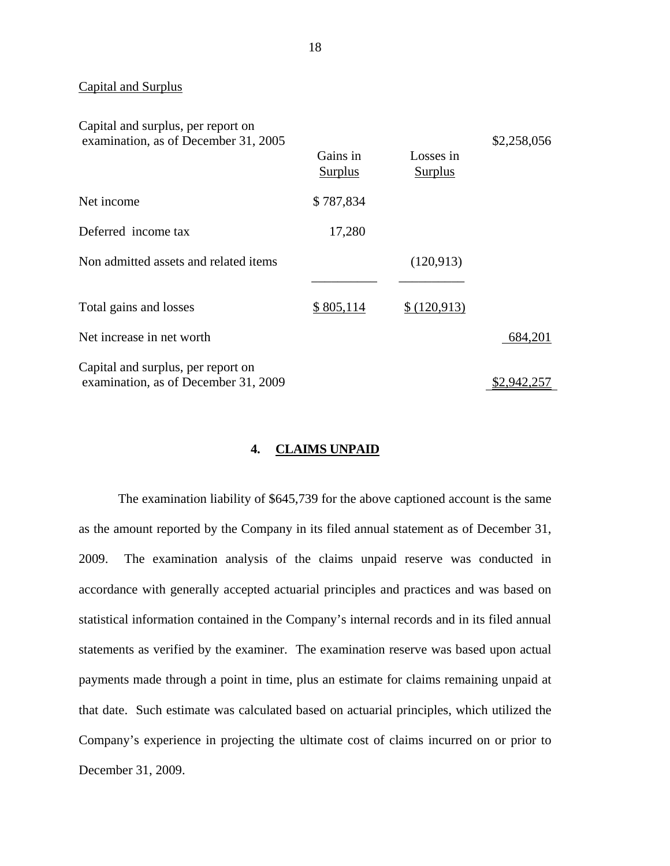## Capital and Surplus

| Capital and surplus, per report on<br>examination, as of December 31, 2005 | Gains in<br><b>Surplus</b> | Losses in<br><b>Surplus</b> | \$2,258,056 |
|----------------------------------------------------------------------------|----------------------------|-----------------------------|-------------|
| Net income                                                                 | \$787,834                  |                             |             |
| Deferred income tax                                                        | 17,280                     |                             |             |
| Non admitted assets and related items                                      |                            | (120, 913)                  |             |
| Total gains and losses                                                     | \$805,114                  | \$(120,913)                 |             |
| Net increase in net worth                                                  |                            |                             | 684,201     |
| Capital and surplus, per report on<br>examination, as of December 31, 2009 |                            |                             | \$2.942.257 |

## **4. CLAIMS UNPAID**

The examination liability of \$645,739 for the above captioned account is the same as the amount reported by the Company in its filed annual statement as of December 31, 2009. The examination analysis of the claims unpaid reserve was conducted in accordance with generally accepted actuarial principles and practices and was based on statistical information contained in the Company's internal records and in its filed annual statements as verified by the examiner. The examination reserve was based upon actual payments made through a point in time, plus an estimate for claims remaining unpaid at that date. Such estimate was calculated based on actuarial principles, which utilized the Company's experience in projecting the ultimate cost of claims incurred on or prior to December 31, 2009.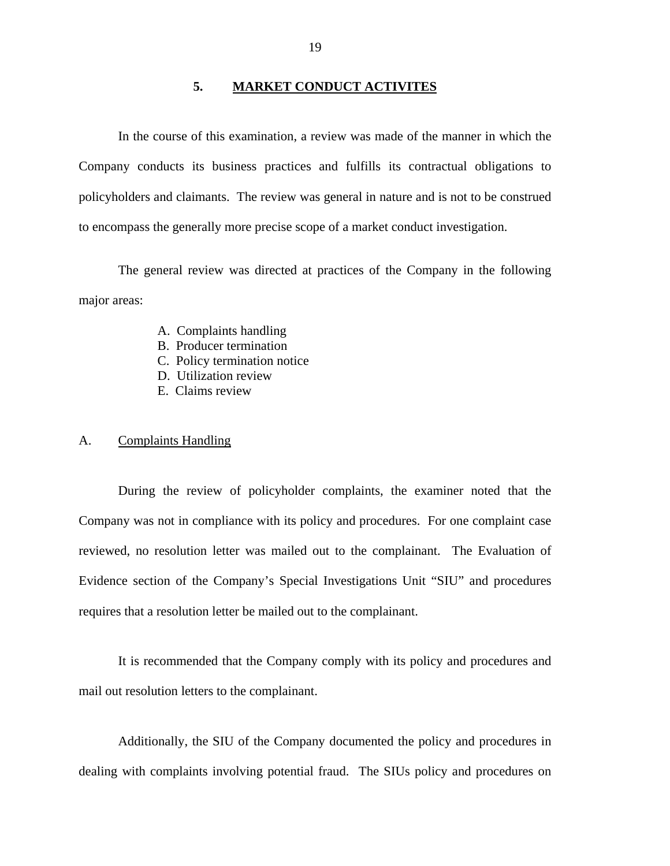## **5. MARKET CONDUCT ACTIVITES**

<span id="page-20-0"></span>In the course of this examination, a review was made of the manner in which the Company conducts its business practices and fulfills its contractual obligations to policyholders and claimants. The review was general in nature and is not to be construed to encompass the generally more precise scope of a market conduct investigation.

The general review was directed at practices of the Company in the following major areas:

- A. Complaints handling
- B. Producer termination
- C. Policy termination notice
- D. Utilization review
- E. Claims review

#### A. Complaints Handling

During the review of policyholder complaints, the examiner noted that the Company was not in compliance with its policy and procedures. For one complaint case reviewed, no resolution letter was mailed out to the complainant. The Evaluation of Evidence section of the Company's Special Investigations Unit "SIU" and procedures requires that a resolution letter be mailed out to the complainant.

It is recommended that the Company comply with its policy and procedures and mail out resolution letters to the complainant.

Additionally, the SIU of the Company documented the policy and procedures in dealing with complaints involving potential fraud. The SIUs policy and procedures on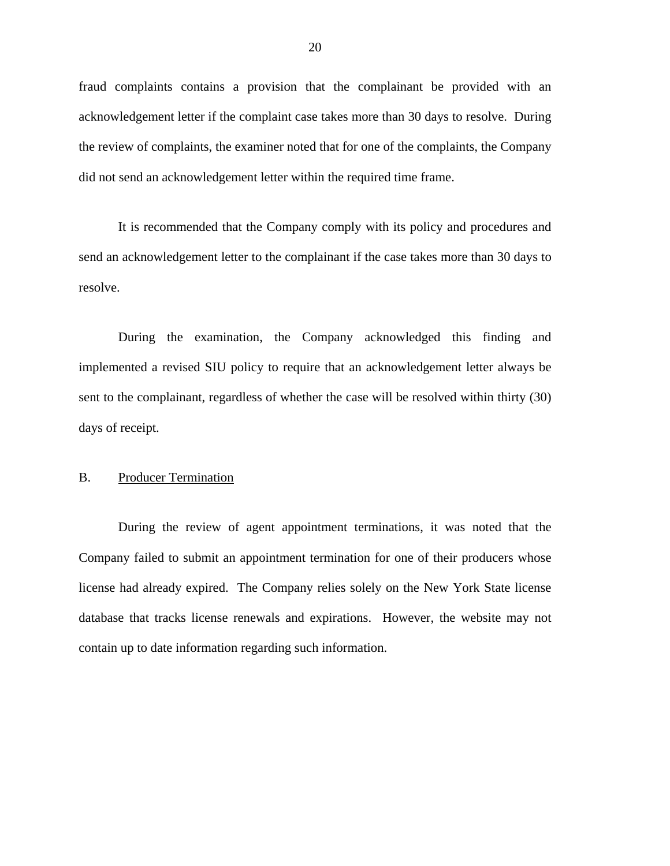fraud complaints contains a provision that the complainant be provided with an acknowledgement letter if the complaint case takes more than 30 days to resolve. During the review of complaints, the examiner noted that for one of the complaints, the Company did not send an acknowledgement letter within the required time frame.

It is recommended that the Company comply with its policy and procedures and send an acknowledgement letter to the complainant if the case takes more than 30 days to resolve.

During the examination, the Company acknowledged this finding and implemented a revised SIU policy to require that an acknowledgement letter always be sent to the complainant, regardless of whether the case will be resolved within thirty (30) days of receipt.

## B. Producer Termination

During the review of agent appointment terminations, it was noted that the Company failed to submit an appointment termination for one of their producers whose license had already expired. The Company relies solely on the New York State license database that tracks license renewals and expirations. However, the website may not contain up to date information regarding such information.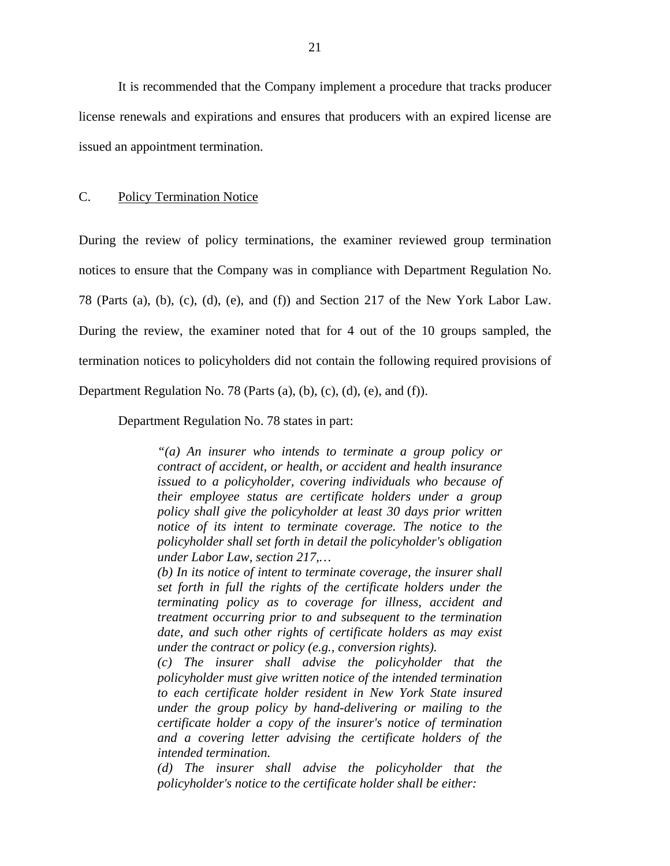It is recommended that the Company implement a procedure that tracks producer license renewals and expirations and ensures that producers with an expired license are issued an appointment termination.

## C. Policy Termination Notice

During the review of policy terminations, the examiner reviewed group termination notices to ensure that the Company was in compliance with Department Regulation No. 78 (Parts (a), (b), (c), (d), (e), and (f)) and Section 217 of the New York Labor Law. During the review, the examiner noted that for 4 out of the 10 groups sampled, the termination notices to policyholders did not contain the following required provisions of

Department Regulation No. 78 (Parts (a), (b), (c), (d), (e), and (f)).

Department Regulation No. 78 states in part:

*"(a) An insurer who intends to terminate a group policy or contract of accident, or health, or accident and health insurance issued to a policyholder, covering individuals who because of their employee status are certificate holders under a group policy shall give the policyholder at least 30 days prior written notice of its intent to terminate coverage. The notice to the policyholder shall set forth in detail the policyholder's obligation under Labor Law, section 217,…* 

*(b) In its notice of intent to terminate coverage, the insurer shall set forth in full the rights of the certificate holders under the terminating policy as to coverage for illness, accident and treatment occurring prior to and subsequent to the termination date, and such other rights of certificate holders as may exist under the contract or policy (e.g., conversion rights).* 

*(c) The insurer shall advise the policyholder that the policyholder must give written notice of the intended termination to each certificate holder resident in New York State insured under the group policy by hand-delivering or mailing to the certificate holder a copy of the insurer's notice of termination and a covering letter advising the certificate holders of the intended termination.* 

*(d) The insurer shall advise the policyholder that the policyholder's notice to the certificate holder shall be either:*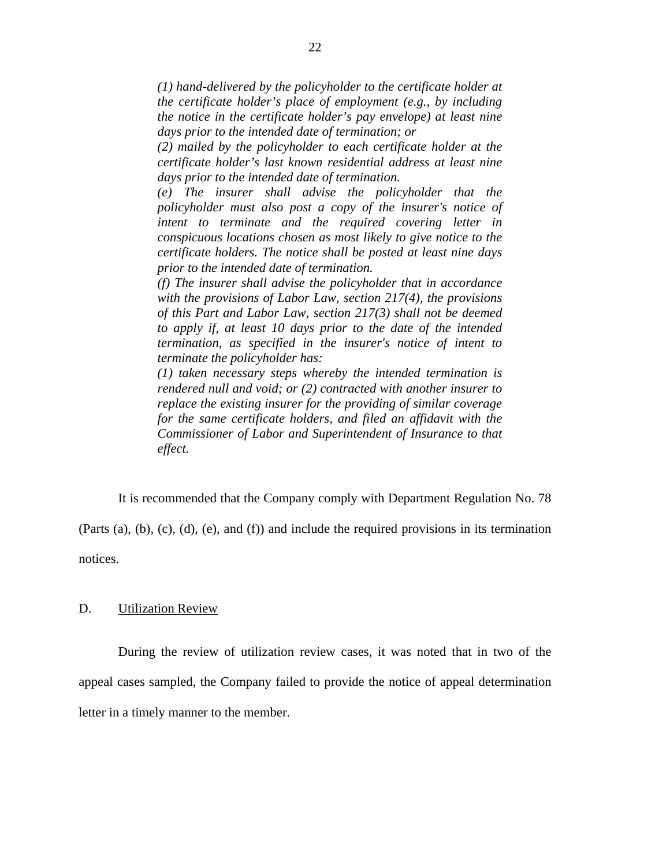*(1) hand-delivered by the policyholder to the certificate holder at the certificate holder's place of employment (e.g., by including the notice in the certificate holder's pay envelope) at least nine days prior to the intended date of termination; or* 

*(2) mailed by the policyholder to each certificate holder at the certificate holder's last known residential address at least nine days prior to the intended date of termination.* 

*(e) The insurer shall advise the policyholder that the policyholder must also post a copy of the insurer's notice of intent to terminate and the required covering letter in conspicuous locations chosen as most likely to give notice to the certificate holders. The notice shall be posted at least nine days prior to the intended date of termination.* 

*(f) The insurer shall advise the policyholder that in accordance with the provisions of Labor Law, section 217(4), the provisions of this Part and Labor Law, section 217(3) shall not be deemed to apply if, at least 10 days prior to the date of the intended termination, as specified in the insurer's notice of intent to terminate the policyholder has:* 

*(1) taken necessary steps whereby the intended termination is rendered null and void; or (2) contracted with another insurer to replace the existing insurer for the providing of similar coverage for the same certificate holders, and filed an affidavit with the Commissioner of Labor and Superintendent of Insurance to that effect.* 

It is recommended that the Company comply with Department Regulation No. 78

(Parts (a), (b), (c), (d), (e), and (f)) and include the required provisions in its termination notices.

## D. Utilization Review

During the review of utilization review cases, it was noted that in two of the appeal cases sampled, the Company failed to provide the notice of appeal determination letter in a timely manner to the member.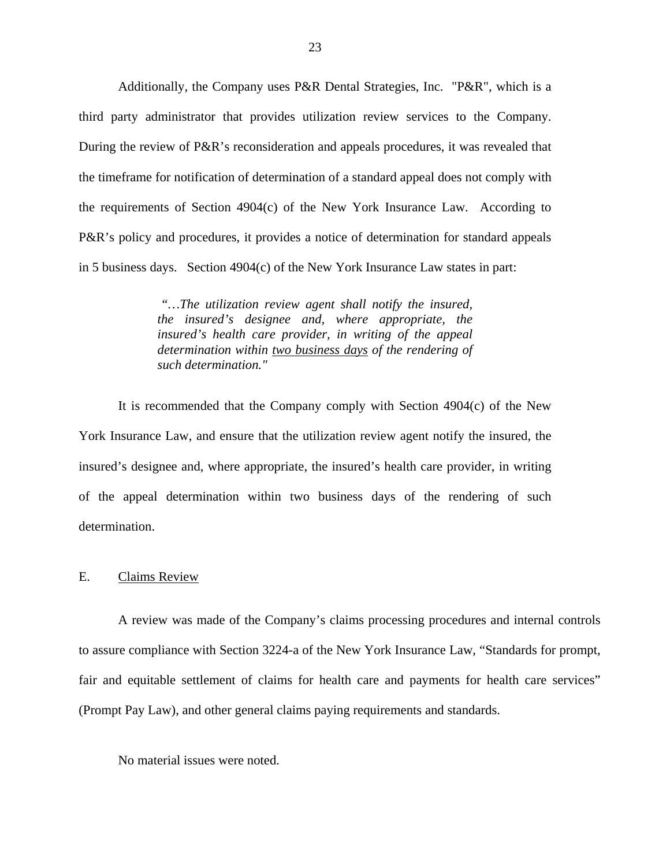Additionally, the Company uses P&R Dental Strategies, Inc. "P&R", which is a third party administrator that provides utilization review services to the Company. During the review of P&R's reconsideration and appeals procedures, it was revealed that the timeframe for notification of determination of a standard appeal does not comply with the requirements of Section 4904(c) of the New York Insurance Law. According to P&R's policy and procedures, it provides a notice of determination for standard appeals in 5 business days. Section 4904(c) of the New York Insurance Law states in part:

> *"…The utilization review agent shall notify the insured, the insured's designee and, where appropriate, the insured's health care provider, in writing of the appeal determination within two business days of the rendering of such determination."*

It is recommended that the Company comply with Section 4904(c) of the New York Insurance Law, and ensure that the utilization review agent notify the insured, the insured's designee and, where appropriate, the insured's health care provider, in writing of the appeal determination within two business days of the rendering of such determination.

#### E. Claims Review

A review was made of the Company's claims processing procedures and internal controls to assure compliance with Section 3224-a of the New York Insurance Law, "Standards for prompt, fair and equitable settlement of claims for health care and payments for health care services" (Prompt Pay Law), and other general claims paying requirements and standards.

No material issues were noted.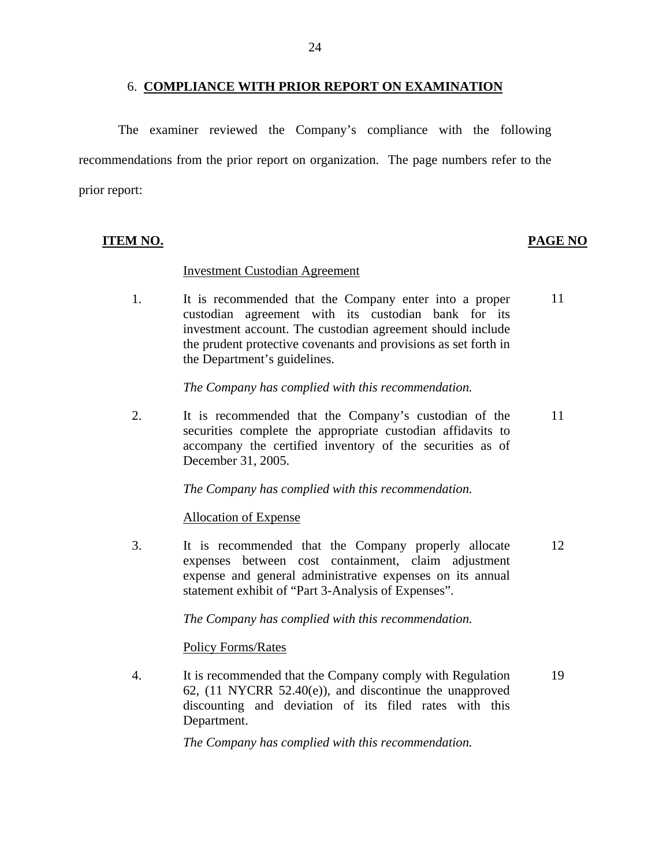## 6. **COMPLIANCE WITH PRIOR REPORT ON EXAMINATION**

The examiner reviewed the Company's compliance with the following recommendations from the prior report on organization. The page numbers refer to the prior report:

## **ITEM NO. PAGE NO**

#### **Investment Custodian Agreement**

1. It is recommended that the Company enter into a proper custodian agreement with its custodian bank for its investment account. The custodian agreement should include the prudent protective covenants and provisions as set forth in the Department's guidelines. 11

*The Company has complied with this recommendation.* 

2. It is recommended that the Company's custodian of the securities complete the appropriate custodian affidavits to accompany the certified inventory of the securities as of December 31, 2005. 11

*The Company has complied with this recommendation.* 

**Allocation of Expense** 

3. It is recommended that the Company properly allocate expenses between cost containment, claim adjustment expense and general administrative expenses on its annual statement exhibit of "Part 3-Analysis of Expenses". 12

*The Company has complied with this recommendation.* 

**Policy Forms/Rates** 

4. It is recommended that the Company comply with Regulation 62, (11 NYCRR 52.40(e)), and discontinue the unapproved discounting and deviation of its filed rates with this Department. 19

*The Company has complied with this recommendation.*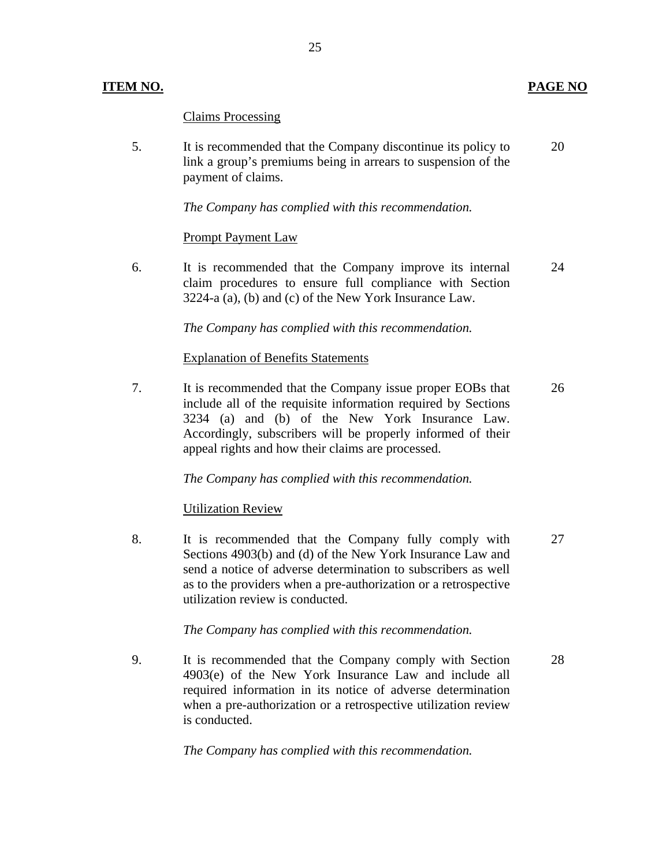## **ITEM NO. PAGE NO**

## **Claims Processing**

5. It is recommended that the Company discontinue its policy to link a group's premiums being in arrears to suspension of the payment of claims. 20

*The Company has complied with this recommendation.* 

## **Prompt Payment Law**

6. It is recommended that the Company improve its internal claim procedures to ensure full compliance with Section 3224-a (a), (b) and (c) of the New York Insurance Law. 24

*The Company has complied with this recommendation.* 

## **Explanation of Benefits Statements**

7. It is recommended that the Company issue proper EOBs that include all of the requisite information required by Sections 3234 (a) and (b) of the New York Insurance Law. Accordingly, subscribers will be properly informed of their appeal rights and how their claims are processed. 26

*The Company has complied with this recommendation.* 

## **Utilization Review**

8. It is recommended that the Company fully comply with Sections 4903(b) and (d) of the New York Insurance Law and send a notice of adverse determination to subscribers as well as to the providers when a pre-authorization or a retrospective utilization review is conducted. 27

## *The Company has complied with this recommendation.*

9. It is recommended that the Company comply with Section 4903(e) of the New York Insurance Law and include all required information in its notice of adverse determination when a pre-authorization or a retrospective utilization review is conducted.

*The Company has complied with this recommendation.* 

28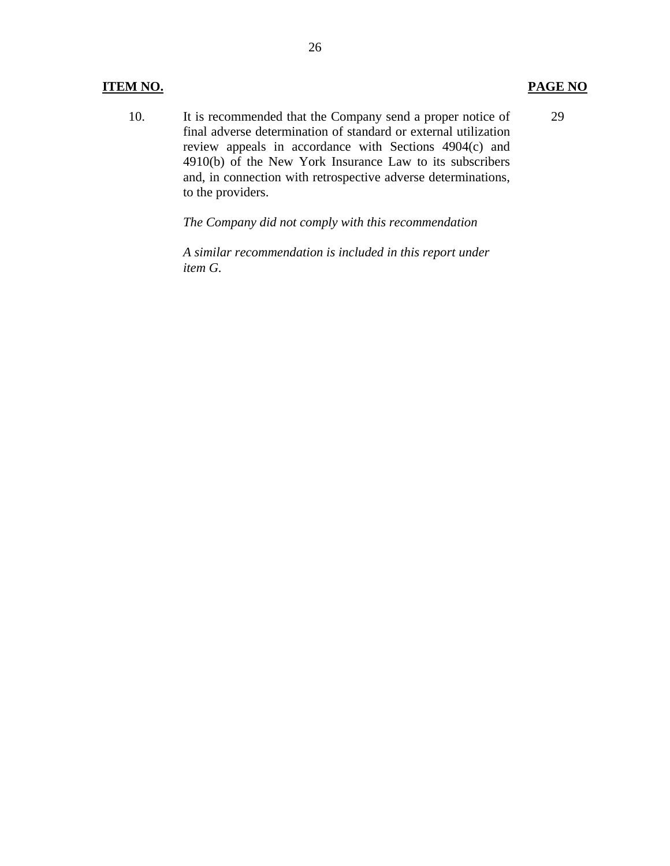## **ITEM NO. PAGE NO**

10. It is recommended that the Company send a proper notice of final adverse determination of standard or external utilization review appeals in accordance with Sections 4904(c) and 4910(b) of the New York Insurance Law to its subscribers and, in connection with retrospective adverse determinations, to the providers. 29

*The Company did not comply with this recommendation* 

*A similar recommendation is included in this report under item G.*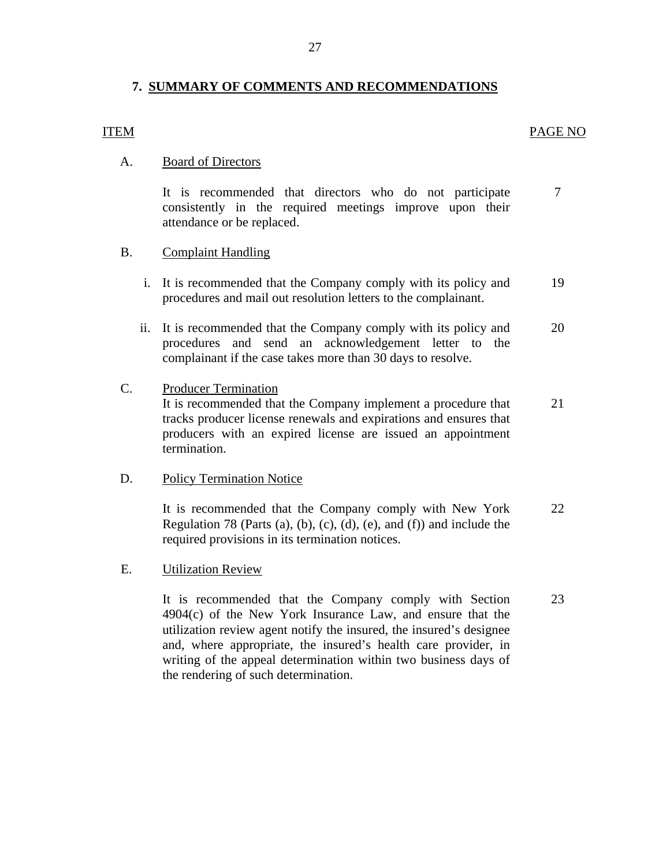## **7. SUMMARY OF COMMENTS AND RECOMMENDATIONS**

## **ITEM**

## ITEM PAGE NO

## **Board of Directors**

7 A. Board of Directors<br>It is recommended that directors who do not participate consistently in the required meetings improve upon their attendance or be replaced.

## **Complaint Handling**

- B. Complaint Handling<br>i. It is recommended that the Company comply with its policy and procedures and mail out resolution letters to the complainant. 19
	- ii. It is recommended that the Company comply with its policy and procedures and send an acknowledgement letter to the complainant if the case takes more than 30 days to resolve. 20

## **Producer Termination**

C. Producer Termination<br>It is recommended that the Company implement a procedure that tracks producer license renewals and expirations and ensures that producers with an expired license are issued an appointment termination. 21

## **Policy Termination Notice**

D. Policy Termination Notice<br>It is recommended that the Company comply with New York Regulation 78 (Parts (a), (b), (c), (d), (e), and (f)) and include the required provisions in its termination notices. 22

## **Utilization Review**

E. Utilization Review<br>It is recommended that the Company comply with Section 4904(c) of the New York Insurance Law, and ensure that the utilization review agent notify the insured, the insured's designee and, where appropriate, the insured's health care provider, in writing of the appeal determination within two business days of the rendering of such determination. 23